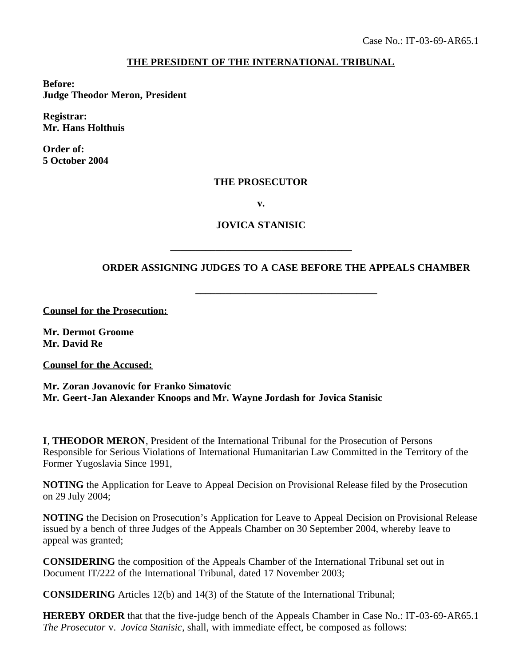## **THE PRESIDENT OF THE INTERNATIONAL TRIBUNAL**

**Before: Judge Theodor Meron, President**

**Registrar: Mr. Hans Holthuis**

**Order of: 5 October 2004**

## **THE PROSECUTOR**

**v.**

## **JOVICA STANISIC**

**\_\_\_\_\_\_\_\_\_\_\_\_\_\_\_\_\_\_\_\_\_\_\_\_\_\_\_\_\_\_\_\_\_\_\_\_**

## **ORDER ASSIGNING JUDGES TO A CASE BEFORE THE APPEALS CHAMBER**

**\_\_\_\_\_\_\_\_\_\_\_\_\_\_\_\_\_\_\_\_\_\_\_\_\_\_\_\_\_\_\_\_\_\_\_\_**

**Counsel for the Prosecution:**

**Mr. Dermot Groome Mr. David Re**

**Counsel for the Accused:**

**Mr. Zoran Jovanovic for Franko Simatovic Mr. Geert-Jan Alexander Knoops and Mr. Wayne Jordash for Jovica Stanisic**

**I**, **THEODOR MERON**, President of the International Tribunal for the Prosecution of Persons Responsible for Serious Violations of International Humanitarian Law Committed in the Territory of the Former Yugoslavia Since 1991,

**NOTING** the Application for Leave to Appeal Decision on Provisional Release filed by the Prosecution on 29 July 2004;

**NOTING** the Decision on Prosecution's Application for Leave to Appeal Decision on Provisional Release issued by a bench of three Judges of the Appeals Chamber on 30 September 2004, whereby leave to appeal was granted;

**CONSIDERING** the composition of the Appeals Chamber of the International Tribunal set out in Document IT/222 of the International Tribunal, dated 17 November 2003;

**CONSIDERING** Articles 12(b) and 14(3) of the Statute of the International Tribunal;

**HEREBY ORDER** that that the five-judge bench of the Appeals Chamber in Case No.: IT-03-69-AR65.1 *The Prosecutor* v. *Jovica Stanisic*, shall, with immediate effect, be composed as follows: